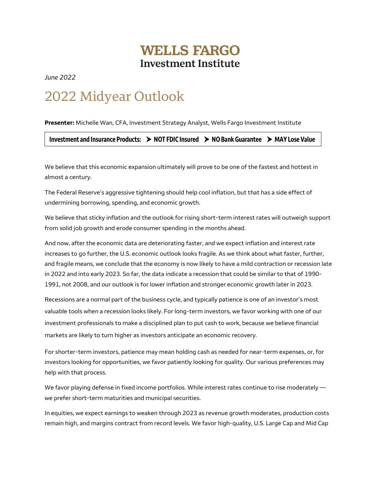## **WELLS FARGO Investment Institute**

*June 2022* 

## 2022 Midyear Outlook

**Presenter:** Michelle Wan, CFA, Investment Strategy Analyst, Wells Fargo Investment Institute

**Investment and Insurance Products: NOT FDIC Insured NO Bank Guarantee MAY Lose Value**

We believe that this economic expansion ultimately will prove to be one of the fastest and hottest in almost a century.

The Federal Reserve's aggressive tightening should help cool inflation, but that has a side effect of undermining borrowing, spending, and economic growth.

We believe that sticky inflation and the outlook for rising short-term interest rates will outweigh support from solid job growth and erode consumer spending in the months ahead.

And now, after the economic data are deteriorating faster, and we expect inflation and interest rate increases to go further, the U.S. economic outlook looks fragile. As we think about what faster, further, and fragile means, we conclude that the economy is now likely to have a mild contraction or recession late in 2022 and into early 2023. So far, the data indicate a recession that could be similar to that of 1990- 1991, not 2008, and our outlook is for lower inflation and stronger economic growth later in 2023.

Recessions are a normal part of the business cycle, and typically patience is one of an investor's most valuable tools when a recession looks likely. For long-term investors, we favor working with one of our investment professionals to make a disciplined plan to put cash to work, because we believe financial markets are likely to turn higher as investors anticipate an economic recovery.

For shorter-term investors, patience may mean holding cash as needed for near-term expenses, or, for investors looking for opportunities, we favor patiently looking for quality. Our various preferences may help with that process.

We favor playing defense in fixed income portfolios. While interest rates continue to rise moderately we prefer short-term maturities and municipal securities.

In equities, we expect earnings to weaken through 2023 as revenue growth moderates, production costs remain high, and margins contract from record levels. We favor high-quality, U.S. Large Cap and Mid Cap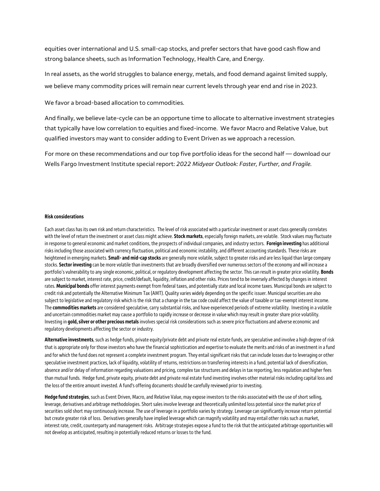equities over international and U.S. small-cap stocks, and prefer sectors that have good cash flow and strong balance sheets, such as Information Technology, Health Care, and Energy.

In real assets, as the world struggles to balance energy, metals, and food demand against limited supply, we believe many commodity prices will remain near current levels through year end and rise in 2023.

We favor a broad-based allocation to commodities.

And finally, we believe late-cycle can be an opportune time to allocate to alternative investment strategies that typically have low correlation to equities and fixed-income. We favor Macro and Relative Value, but qualified investors may want to consider adding to Event Driven as we approach a recession.

For more on these recommendations and our top five portfolio ideas for the second half — download our Wells Fargo Investment Institute special report: *2022 Midyear Outlook: Faster, Further, and Fragile.*

## **Risk considerations**

Each asset class has its own risk and return characteristics. The level of risk associated with a particular investment or asset class generally correlates with the level of return the investment or asset class might achieve. **Stock markets**, especially foreign markets, are volatile. Stock values may fluctuate in response to general economic and market conditions, the prospects of individual companies, and industry sectors. **Foreign investing** has additional risks including those associated with currency fluctuation, political and economic instability, and different accounting standards. These risks are heightened in emerging markets. **Small- and mid-cap stocks**are generally more volatile, subject to greater risks and are less liquid than large company stocks. **Sector investing** can be more volatile than investments that are broadly diversified over numerous sectors of the economy and will increase a portfolio's vulnerability to any single economic, political, or regulatory development affecting the sector. This can result in greater price volatility. **Bonds** are subject to market, interest rate, price, credit/default, liquidity, inflation and other risks. Prices tend to be inversely affected by changes in interest rates. **Municipal bonds** offer interest payments exempt from federal taxes, and potentially state and local income taxes. Municipal bonds are subject to credit risk and potentially the Alternative Minimum Tax (AMT). Quality varies widely depending on the specific issuer. Municipal securities are also subject to legislative and regulatory risk which is the risk that a change in the tax code could affect the value of taxable or tax-exempt interest income. The **commodities markets**are considered speculative, carry substantial risks, and have experienced periods of extreme volatility. Investing in a volatile and uncertain commodities market may cause a portfolio to rapidly increase or decrease in value which may result in greater share price volatility. Investing in **gold, silver or other precious metals**involves special risk considerations such as severe price fluctuations and adverse economic and regulatory developments affecting the sector or industry.

**Alternative investments**, such as hedge funds, private equity/private debt and private real estate funds, are speculative and involve a high degree of risk that is appropriate only for those investors who have the financial sophistication and expertise to evaluate the merits and risks of an investment in a fund and for which the fund does not represent a complete investment program. They entail significant risks that can include losses due to leveraging or other speculative investment practices, lack of liquidity, volatility of returns, restrictions on transferring interests in a fund, potential lack of diversification, absence and/or delay of information regarding valuations and pricing, complex tax structures and delays in tax reporting, less regulation and higher fees than mutual funds. Hedge fund, private equity, private debt and private real estate fund investing involves other material risks including capital loss and the loss of the entire amount invested. A fund's offering documents should be carefully reviewed prior to investing.

**Hedge fund strategies**, such as Event Driven, Macro, and Relative Value, may expose investors to the risks associated with the use of short selling, leverage, derivatives and arbitrage methodologies. Short sales involve leverage and theoretically unlimited loss potential since the market price of securities sold short may continuously increase. The use of leverage in a portfolio varies by strategy. Leverage can significantly increase return potential but create greater risk of loss. Derivatives generally have implied leverage which can magnify volatility and may entail other risks such as market, interest rate, credit, counterparty and management risks. Arbitrage strategies expose a fund to the risk that the anticipated arbitrage opportunities will not develop as anticipated, resulting in potentially reduced returns or losses to the fund.